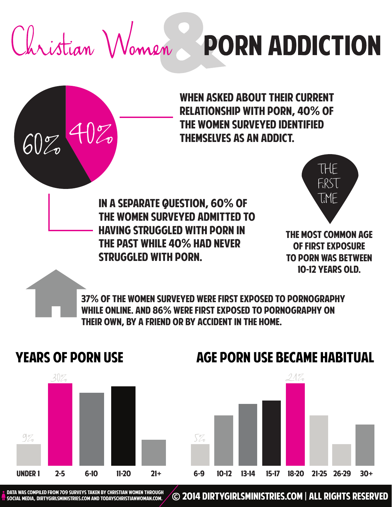Christian Women PORN ADDICTION

 $40\%$ 

When asked about their current relationship with porn, 40% of the women surveyed identified  $60\%$  TV  $\omega$  Themselves as an addict.

> In a separate question, 60% of the women surveyed admitted to having struggled with porn in the past while 40% had never struggled with porn.



The most common age of first exposure to porn was between 10-12 years old.

37% of the women surveyed were first exposed to pornography while online. and 86% were first exposed to pornography on their own, by a friend or by accident in the home.

#### years of porn use



### age porn use became habitual



social media, dirtygirlsministries.com and TodaysChristianwoman.com.

DATA WAS COMPILED FROM 709 SURVEYS TAKEN BY CHRISTIAN WOMEN THROUGH COMPILED **DIRTYGIRLSMINISTRIES.COM | ALL RIGHTS RESERVED**